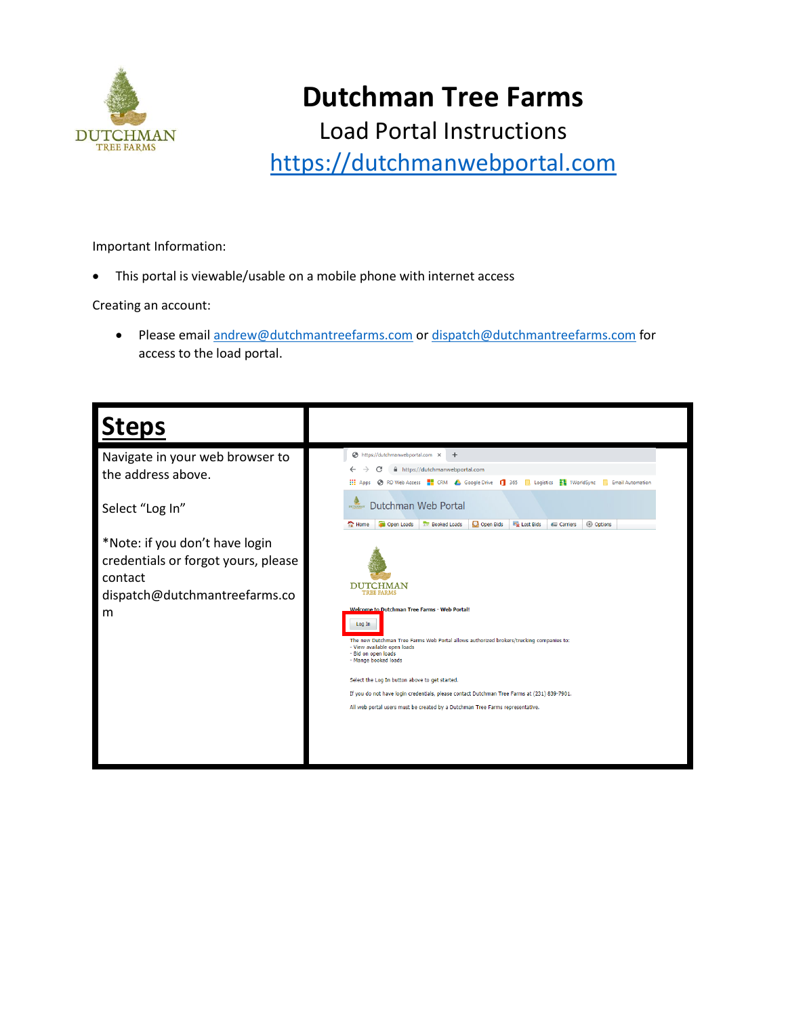

Load Portal Instructions

[https://dutchmanwebportal.com](https://dutchmanwebportal.com/)

Important Information:

• This portal is viewable/usable on a mobile phone with internet access

Creating an account:

• Please email [andrew@dutchmantreefarms.com](mailto:andrew@dutchmantreefarms.com) o[r dispatch@dutchmantreefarms.com](mailto:dispatch@dutchmantreefarms.com) for access to the load portal.

| <b>Steps</b>                                                                                                           |                                                                                                                                                                                                                                                                  |  |  |  |  |  |  |  |
|------------------------------------------------------------------------------------------------------------------------|------------------------------------------------------------------------------------------------------------------------------------------------------------------------------------------------------------------------------------------------------------------|--|--|--|--|--|--|--|
| Navigate in your web browser to<br>the address above.                                                                  | https://dutchmanwebportal.com X<br>$+$<br>https://dutchmanwebportal.com<br>RD Web Access <b>For</b> CRM Coogle Drive <b>1</b> 365 <b>b</b> Logistics <b>F1</b> 1WorldSync<br><b>III</b> Apps<br><b>Email Automation</b><br>n.                                    |  |  |  |  |  |  |  |
| Select "Log In"                                                                                                        | Dutchman Web Portal<br>Open Bids<br>Open Loads<br><b>Booked Loads</b><br><b>Ex Lost Bids</b><br><b>Carriers</b><br><b>Second</b> Options<br>Home                                                                                                                 |  |  |  |  |  |  |  |
| *Note: if you don't have login<br>credentials or forgot yours, please<br>contact<br>dispatch@dutchmantreefarms.co<br>m | DUTCHMAN<br><b>TREE FARMS</b><br>Welcome to Dutchman Tree Farms - Web Portal!<br>Log In<br>The new Dutchman Tree Farms Web Portal allows authorized brokers/trucking companies to:<br>- View available open loads<br>- Bid on open loads<br>- Mange booked loads |  |  |  |  |  |  |  |
| Select the Log In button above to get started.                                                                         |                                                                                                                                                                                                                                                                  |  |  |  |  |  |  |  |
|                                                                                                                        | If you do not have login credentials, please contact Dutchman Tree Farms at (231) 839-7901.                                                                                                                                                                      |  |  |  |  |  |  |  |
|                                                                                                                        | All web portal users must be created by a Dutchman Tree Farms representative.                                                                                                                                                                                    |  |  |  |  |  |  |  |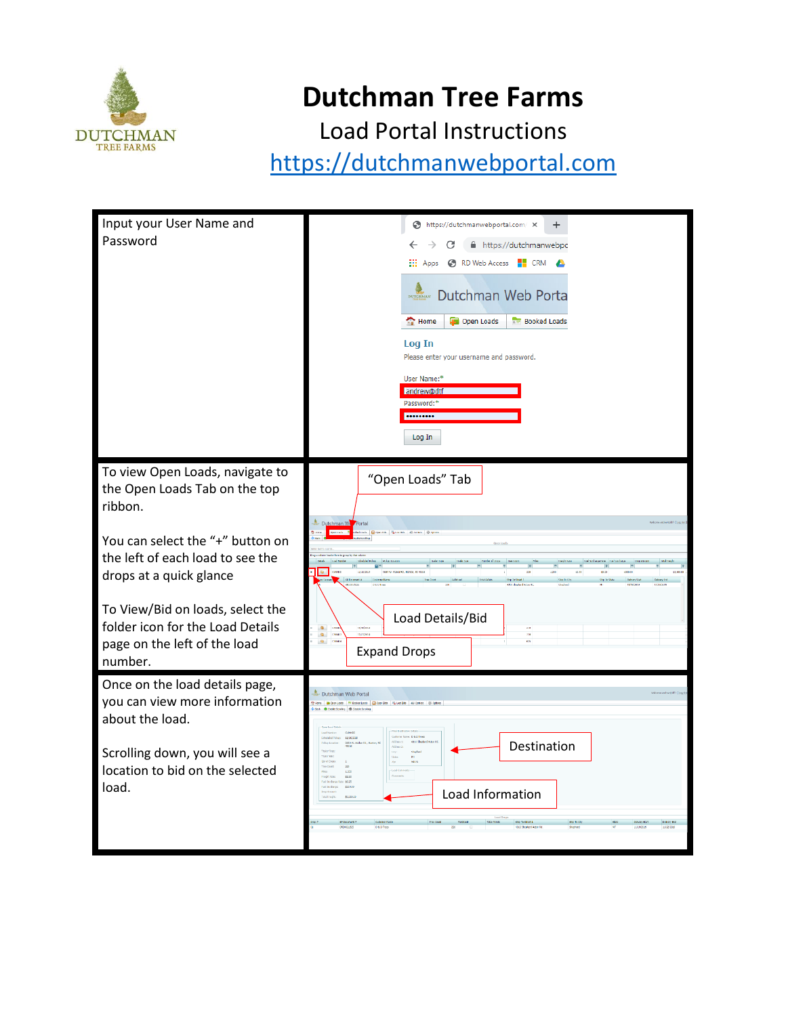

Load Portal Instructions

| Input your User Name and<br>Password                                                                                                                                                                                                                                                              | https://dutchmanwebportal.com/ X<br>$\ddot{}$<br>$\leftarrow$<br>$\rightarrow$<br>C<br>https://dutchmanwebpc<br><b>EL:</b> Apps <b>@</b> RD Web Access <b>EL:</b> CRM <b>A</b><br>Dutchman Web Porta<br>$\sim$ Home<br>Open Loads<br><b>Booked Loads</b><br>Log In<br>Please enter your username and password.<br>User Name:*<br>andrew@dtf<br>Password:*<br><br>Log In |
|---------------------------------------------------------------------------------------------------------------------------------------------------------------------------------------------------------------------------------------------------------------------------------------------------|-------------------------------------------------------------------------------------------------------------------------------------------------------------------------------------------------------------------------------------------------------------------------------------------------------------------------------------------------------------------------|
| To view Open Loads, navigate to<br>the Open Loads Tab on the top<br>ribbon.<br>You can select the "+" button on<br>the left of each load to see the<br>drops at a quick glance<br>To View/Bid on loads, select the<br>folder icon for the Load Details<br>page on the left of the load<br>number. | "Open Loads" Tab<br>Dutchman W<br><b>Questions</b><br>9683 W. Nicker Rd., Monton, ND 49663<br>9.31<br>60.25<br>\$3,300.00<br>11/16/2009<br>220<br>1400.00<br>Load Details/Bid<br>$\bullet$<br><b>LEAD</b><br>цами<br>$\bullet$<br><b>COM</b><br><b>CRANK</b><br>$\mathbf{m}_\perp$<br><b>Expand Drops</b>                                                               |
| Once on the load details page,<br>you can view more information<br>about the load.<br>Scrolling down, you will see a<br>location to bid on the selected<br>load.                                                                                                                                  | Dutchman Web Portal<br>me a Open Loses The Busines Loses   63 Co<br>C Entle Strolley @ Dashie Sco<br>11/16/201<br>Destination<br>\$2.51<br>10.25<br>Load Information<br><b>PERMIT</b><br>Stip To City<br><b>DANTON</b>                                                                                                                                                  |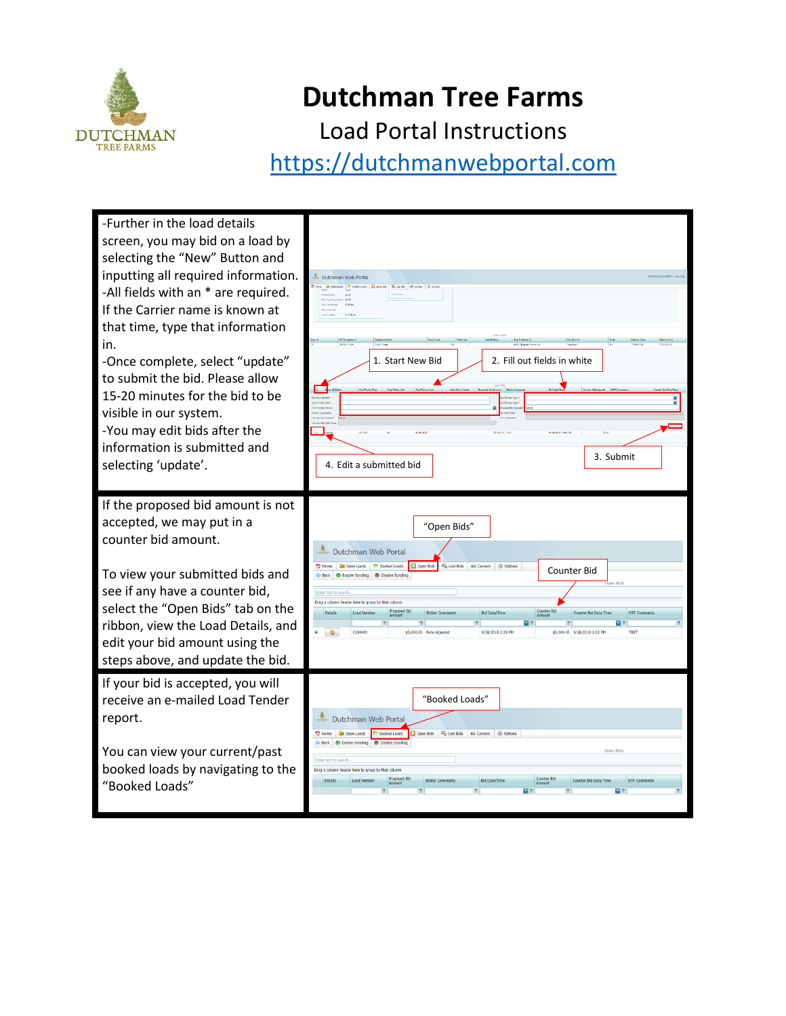

Load Portal Instructions

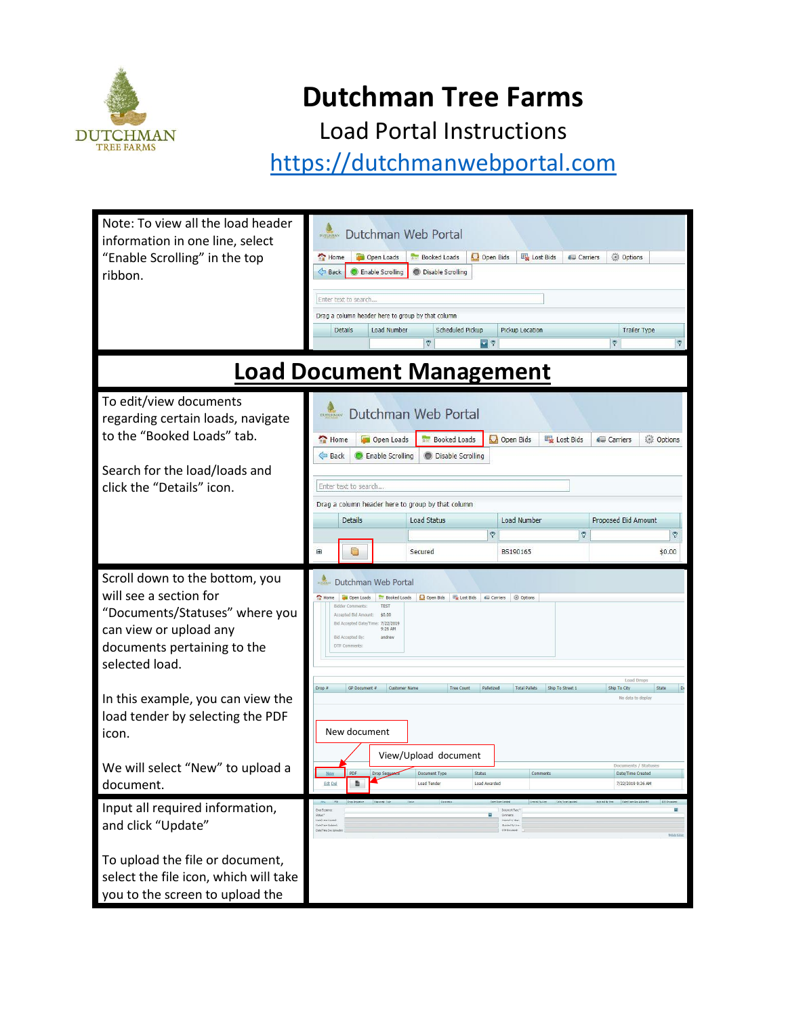

Load Portal Instructions

| Note: To view all the load header<br>information in one line, select<br>"Enable Scrolling" in the top<br>ribbon.                                                      | Dutchman Web Portal<br>Home<br>Open Loads<br><b>Booked Loads</b><br>Open Bids<br>Lost Bids<br><b>Options</b><br><b>Carriers</b><br>Back<br><b>Enable Scrolling</b><br><b>O</b> Disable Scrolling<br>Enter text to search<br>Drag a column header here to group by that column<br>Details<br>Load Number<br>Scheduled Pickup<br><b>Trailer Type</b><br>Pickup Location<br>$\overline{\mathbf{v}}$ ?<br>$\heartsuit$<br>$\heartsuit$<br>$\overline{v}$ |  |  |  |  |  |  |  |  |
|-----------------------------------------------------------------------------------------------------------------------------------------------------------------------|------------------------------------------------------------------------------------------------------------------------------------------------------------------------------------------------------------------------------------------------------------------------------------------------------------------------------------------------------------------------------------------------------------------------------------------------------|--|--|--|--|--|--|--|--|
| <b>Load Document Management</b>                                                                                                                                       |                                                                                                                                                                                                                                                                                                                                                                                                                                                      |  |  |  |  |  |  |  |  |
| To edit/view documents<br>regarding certain loads, navigate<br>to the "Booked Loads" tab.                                                                             | Dutchman Web Portal<br>Lost Bids<br>Open Loads<br><b>Booked Loads</b><br><b>A.</b> Open Bids<br>Options<br>Home<br><b>Carriers</b><br>Back<br>Enable Scrolling<br><b>O</b> Disable Scrolling                                                                                                                                                                                                                                                         |  |  |  |  |  |  |  |  |
| Search for the load/loads and<br>click the "Details" icon.                                                                                                            | Enter text to search                                                                                                                                                                                                                                                                                                                                                                                                                                 |  |  |  |  |  |  |  |  |
|                                                                                                                                                                       | Drag a column header here to group by that column<br>Proposed Bid Amount<br><b>Details</b><br><b>Load Status</b><br>Load Number                                                                                                                                                                                                                                                                                                                      |  |  |  |  |  |  |  |  |
|                                                                                                                                                                       | $\triangledown$<br>۴<br>Ÿ                                                                                                                                                                                                                                                                                                                                                                                                                            |  |  |  |  |  |  |  |  |
|                                                                                                                                                                       | ⊕<br>C<br>BS190165<br>\$0.00<br>Secured                                                                                                                                                                                                                                                                                                                                                                                                              |  |  |  |  |  |  |  |  |
| Scroll down to the bottom, you<br>will see a section for<br>"Documents/Statuses" where you<br>can view or upload any<br>documents pertaining to the<br>selected load. | Dutchman Web Portal<br>Home<br>Open Bids   Ex Lost Bids   Carriers<br><b>@ Options</b><br><b>Booked Loads</b><br>Open Loads<br><b>Bidder Comments:</b><br><b>TEST</b><br>Accepted Bid Amount:<br>\$0.00<br>Bid Accepted Date/Time: 7/22/2019<br>9:26 AM<br>Bid Accepted By:<br>andrew<br>DTF Comments:                                                                                                                                               |  |  |  |  |  |  |  |  |
| In this example, you can view the<br>load tender by selecting the PDF<br>icon.                                                                                        | Load Drops<br>GP Document #<br><b>Tree Count</b><br>Palletized<br><b>Total Pallets</b><br>Ship To Street 1<br>Drop #<br><b>Customer Name</b><br>Ship To City<br>State<br>D<br>No data to display<br>New document                                                                                                                                                                                                                                     |  |  |  |  |  |  |  |  |
| We will select "New" to upload a                                                                                                                                      | View/Upload document<br>Documents / Statuses<br>PDF<br>Drop Sequence<br>Document Type<br><b>Status</b><br>Comments<br>Date/Time Created<br>監<br><b>Edt Del</b><br>Load Awarded<br>7/22/2019 9:26 AM<br><b>Load Tender</b>                                                                                                                                                                                                                            |  |  |  |  |  |  |  |  |
| document.<br>Input all required information,<br>and click "Update"                                                                                                    | Ξ<br>$9.011$ <sup>*</sup><br>Commerca<br>send to th<br>Dea/True Holes!<br><b>Brooked the Live</b><br>DTF Document:<br>Date/Time Doc Uplo                                                                                                                                                                                                                                                                                                             |  |  |  |  |  |  |  |  |
| To upload the file or document,<br>select the file icon, which will take<br>you to the screen to upload the                                                           |                                                                                                                                                                                                                                                                                                                                                                                                                                                      |  |  |  |  |  |  |  |  |